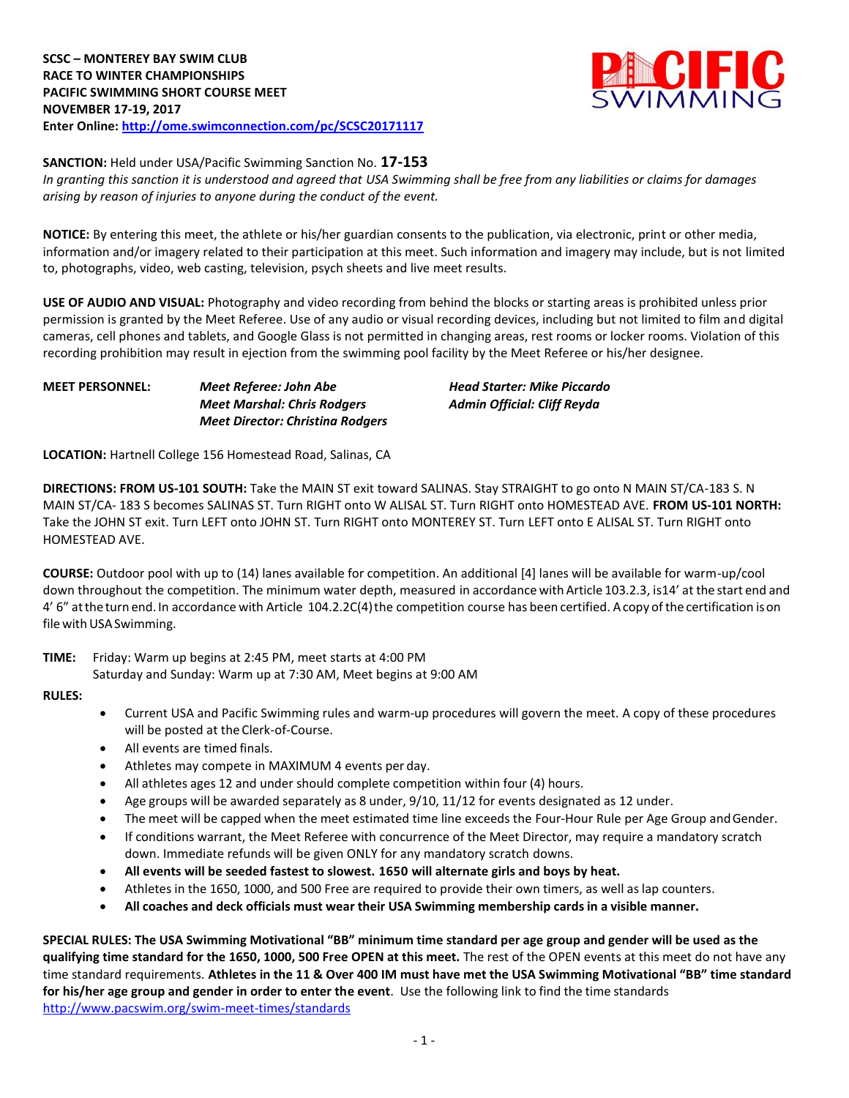

**SANCTION:** Held under USA/Pacific Swimming Sanction No. **17-153**

*In granting this sanction it is understood and agreed that USA Swimming shall be free from any liabilities or claims for damages arising by reason of injuries to anyone during the conduct of the event.*

**NOTICE:** By entering this meet, the athlete or his/her guardian consents to the publication, via electronic, print or other media, information and/or imagery related to their participation at this meet. Such information and imagery may include, but is not limited to, photographs, video, web casting, television, psych sheets and live meet results.

**USE OF AUDIO AND VISUAL:** Photography and video recording from behind the blocks or starting areas is prohibited unless prior permission is granted by the Meet Referee. Use of any audio or visual recording devices, including but not limited to film and digital cameras, cell phones and tablets, and Google Glass is not permitted in changing areas, rest rooms or locker rooms. Violation of this recording prohibition may result in ejection from the swimming pool facility by the Meet Referee or his/her designee.

| <b>MEET PERSONNEL:</b> | Meet Referee: John Abe                  | <b>Head Starter: Mike Piccardo</b> |  |  |  |
|------------------------|-----------------------------------------|------------------------------------|--|--|--|
|                        | <b>Meet Marshal: Chris Rodgers</b>      | Admin Official: Cliff Reyda        |  |  |  |
|                        | <b>Meet Director: Christina Rodgers</b> |                                    |  |  |  |

**LOCATION:** Hartnell College 156 Homestead Road, Salinas, CA

**DIRECTIONS: FROM US-101 SOUTH:** Take the MAIN ST exit toward SALINAS. Stay STRAIGHT to go onto N MAIN ST/CA-183 S. N MAIN ST/CA- 183 S becomes SALINAS ST. Turn RIGHT onto W ALISAL ST. Turn RIGHT onto HOMESTEAD AVE. **FROM US-101 NORTH:**  Take the JOHN ST exit. Turn LEFT onto JOHN ST. Turn RIGHT onto MONTEREY ST. Turn LEFT onto E ALISAL ST. Turn RIGHT onto HOMESTEAD AVE.

**COURSE:** Outdoor pool with up to (14) lanes available for competition. An additional [4] lanes will be available for warm-up/cool down throughout the competition. The minimum water depth, measured in accordance with Article 103.2.3, is14' at the start end and 4' 6" at the turn end. In accordance with Article 104.2.2C(4) the competition course has been certified. Acopy of the certification ison file with USA Swimming.

**TIME:** Friday: Warm up begins at 2:45 PM, meet starts at 4:00 PM Saturday and Sunday: Warm up at 7:30 AM, Meet begins at 9:00 AM

### **RULES:**

- Current USA and Pacific Swimming rules and warm-up procedures will govern the meet. A copy of these procedures will be posted at the Clerk-of-Course.
- All events are timed finals.
- Athletes may compete in MAXIMUM 4 events per day.
- All athletes ages 12 and under should complete competition within four (4) hours.
- Age groups will be awarded separately as 8 under, 9/10, 11/12 for events designated as 12 under.
- The meet will be capped when the meet estimated time line exceeds the Four-Hour Rule per Age Group andGender.
- If conditions warrant, the Meet Referee with concurrence of the Meet Director, may require a mandatory scratch down. Immediate refunds will be given ONLY for any mandatory scratch downs.
- **All events will be seeded fastest to slowest. 1650 will alternate girls and boys by heat.**
- Athletes in the 1650, 1000, and 500 Free are required to provide their own timers, as well as lap counters.
- **All coaches and deck officials must wear their USA Swimming membership cards in a visible manner.**

**SPECIAL RULES: The USA Swimming Motivational "BB" minimum time standard per age group and gender will be used as the qualifying time standard for the 1650, 1000, 500 Free OPEN at this meet.** The rest of the OPEN events at this meet do not have any time standard requirements. **Athletes in the 11 & Over 400 IM must have met the USA Swimming Motivational "BB" time standard for his/her age group and gender in order to enter the event**. Use the following link to find the time standards <http://www.pacswim.org/swim-meet-times/standards>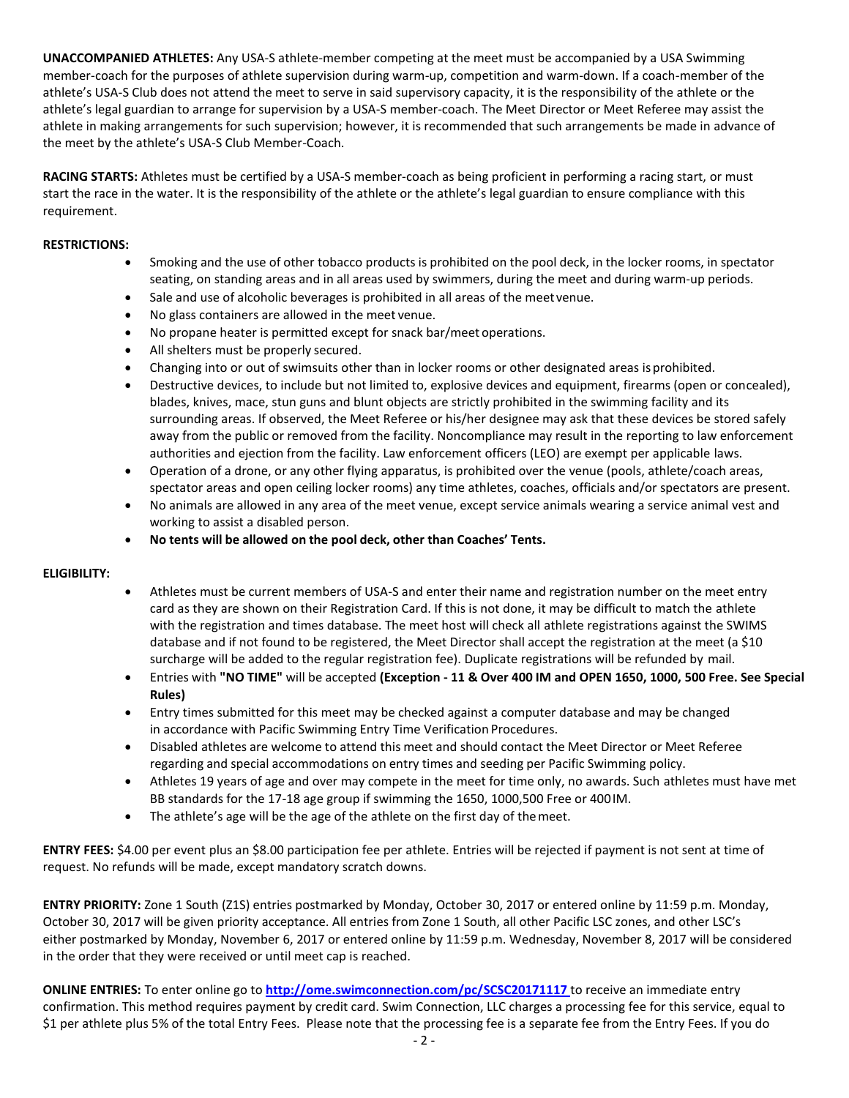**UNACCOMPANIED ATHLETES:** Any USA-S athlete-member competing at the meet must be accompanied by a USA Swimming member-coach for the purposes of athlete supervision during warm-up, competition and warm-down. If a coach-member of the athlete's USA-S Club does not attend the meet to serve in said supervisory capacity, it is the responsibility of the athlete or the athlete's legal guardian to arrange for supervision by a USA-S member-coach. The Meet Director or Meet Referee may assist the athlete in making arrangements for such supervision; however, it is recommended that such arrangements be made in advance of the meet by the athlete's USA-S Club Member-Coach.

**RACING STARTS:** Athletes must be certified by a USA-S member-coach as being proficient in performing a racing start, or must start the race in the water. It is the responsibility of the athlete or the athlete's legal guardian to ensure compliance with this requirement.

### **RESTRICTIONS:**

- Smoking and the use of other tobacco products is prohibited on the pool deck, in the locker rooms, in spectator seating, on standing areas and in all areas used by swimmers, during the meet and during warm-up periods.
- Sale and use of alcoholic beverages is prohibited in all areas of the meet venue.
- No glass containers are allowed in the meet venue.
- No propane heater is permitted except for snack bar/meet operations.
- All shelters must be properly secured.
- Changing into or out of swimsuits other than in locker rooms or other designated areas isprohibited.
- Destructive devices, to include but not limited to, explosive devices and equipment, firearms (open or concealed), blades, knives, mace, stun guns and blunt objects are strictly prohibited in the swimming facility and its surrounding areas. If observed, the Meet Referee or his/her designee may ask that these devices be stored safely away from the public or removed from the facility. Noncompliance may result in the reporting to law enforcement authorities and ejection from the facility. Law enforcement officers (LEO) are exempt per applicable laws.
- Operation of a drone, or any other flying apparatus, is prohibited over the venue (pools, athlete/coach areas, spectator areas and open ceiling locker rooms) any time athletes, coaches, officials and/or spectators are present.
- No animals are allowed in any area of the meet venue, except service animals wearing a service animal vest and working to assist a disabled person.
- **No tents will be allowed on the pool deck, other than Coaches' Tents.**

## **ELIGIBILITY:**

- Athletes must be current members of USA-S and enter their name and registration number on the meet entry card as they are shown on their Registration Card. If this is not done, it may be difficult to match the athlete with the registration and times database. The meet host will check all athlete registrations against the SWIMS database and if not found to be registered, the Meet Director shall accept the registration at the meet (a \$10 surcharge will be added to the regular registration fee). Duplicate registrations will be refunded by mail.
- Entries with **"NO TIME"** will be accepted **(Exception - 11 & Over 400 IM and OPEN 1650, 1000, 500 Free. See Special Rules)**
- Entry times submitted for this meet may be checked against a computer database and may be changed in accordance with Pacific Swimming Entry Time Verification Procedures.
- Disabled athletes are welcome to attend this meet and should contact the Meet Director or Meet Referee regarding and special accommodations on entry times and seeding per Pacific Swimming policy.
- Athletes 19 years of age and over may compete in the meet for time only, no awards. Such athletes must have met BB standards for the 17-18 age group if swimming the 1650, 1000,500 Free or 400IM.
- The athlete's age will be the age of the athlete on the first day of the meet.

**ENTRY FEES:** \$4.00 per event plus an \$8.00 participation fee per athlete. Entries will be rejected if payment is not sent at time of request. No refunds will be made, except mandatory scratch downs.

**ENTRY PRIORITY:** Zone 1 South (Z1S) entries postmarked by Monday, October 30, 2017 or entered online by 11:59 p.m. Monday, October 30, 2017 will be given priority acceptance. All entries from Zone 1 South, all other Pacific LSC zones, and other LSC's either postmarked by Monday, November 6, 2017 or entered online by 11:59 p.m. Wednesday, November 8, 2017 will be considered in the order that they were received or until meet cap is reached.

**ONLINE ENTRIES:** To enter online go to **<http://ome.swimconnection.com/pc/SCSC20171117>** to receive an immediate entry confirmation. This method requires payment by credit card. Swim Connection, LLC charges a processing fee for this service, equal to \$1 per athlete plus 5% of the total Entry Fees. Please note that the processing fee is a separate fee from the Entry Fees. If you do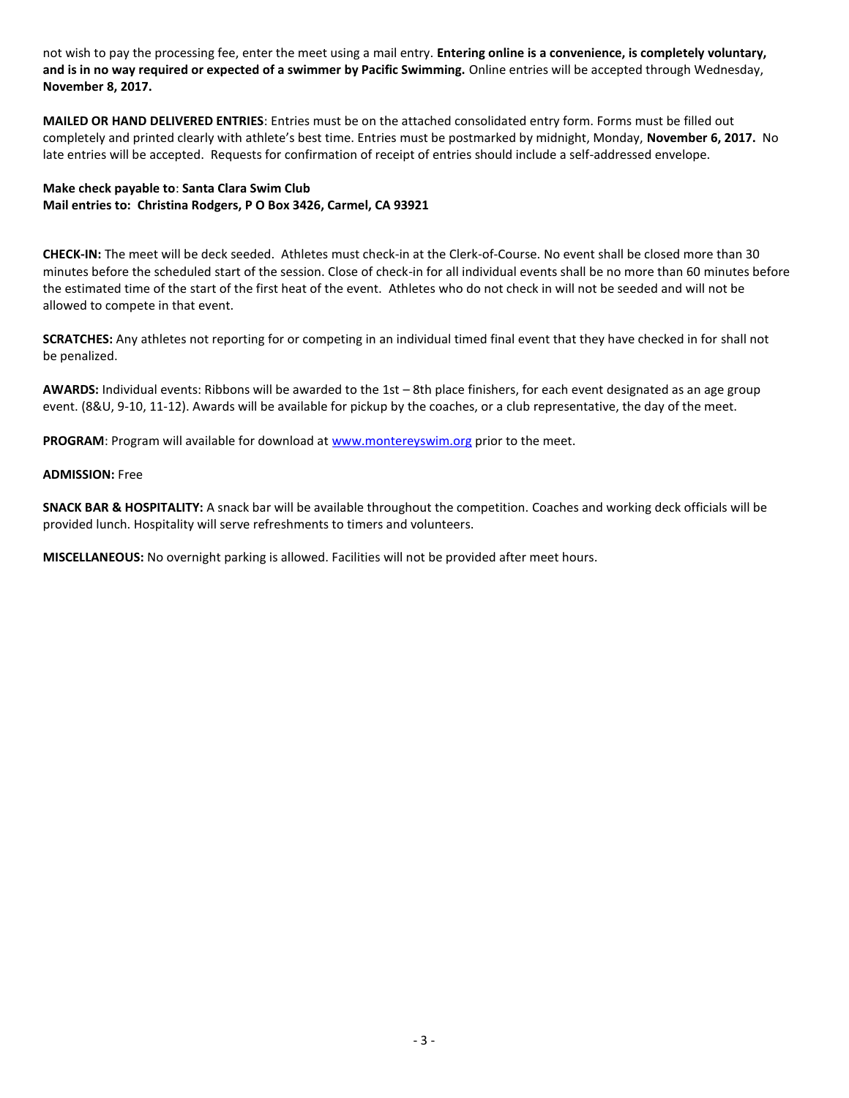not wish to pay the processing fee, enter the meet using a mail entry. **Entering online is a convenience, is completely voluntary, and is in no way required or expected of a swimmer by Pacific Swimming.** Online entries will be accepted through Wednesday, **November 8, 2017.**

**MAILED OR HAND DELIVERED ENTRIES**: Entries must be on the attached consolidated entry form. Forms must be filled out completely and printed clearly with athlete's best time. Entries must be postmarked by midnight, Monday, **November 6, 2017.** No late entries will be accepted. Requests for confirmation of receipt of entries should include a self-addressed envelope.

# **Make check payable to**: **Santa Clara Swim Club Mail entries to: Christina Rodgers, P O Box 3426, Carmel, CA 93921**

**CHECK-IN:** The meet will be deck seeded. Athletes must check-in at the Clerk-of-Course. No event shall be closed more than 30 minutes before the scheduled start of the session. Close of check-in for all individual events shall be no more than 60 minutes before the estimated time of the start of the first heat of the event. Athletes who do not check in will not be seeded and will not be allowed to compete in that event.

**SCRATCHES:** Any athletes not reporting for or competing in an individual timed final event that they have checked in for shall not be penalized.

**AWARDS:** Individual events: Ribbons will be awarded to the 1st – 8th place finishers, for each event designated as an age group event. (8&U, 9-10, 11-12). Awards will be available for pickup by the coaches, or a club representative, the day of the meet.

PROGRAM: Program will available for download a[t www.montereyswim.org](http://www.montereyswim.org/) prior to the meet.

#### **ADMISSION:** Free

**SNACK BAR & HOSPITALITY:** A snack bar will be available throughout the competition. Coaches and working deck officials will be provided lunch. Hospitality will serve refreshments to timers and volunteers.

**MISCELLANEOUS:** No overnight parking is allowed. Facilities will not be provided after meet hours.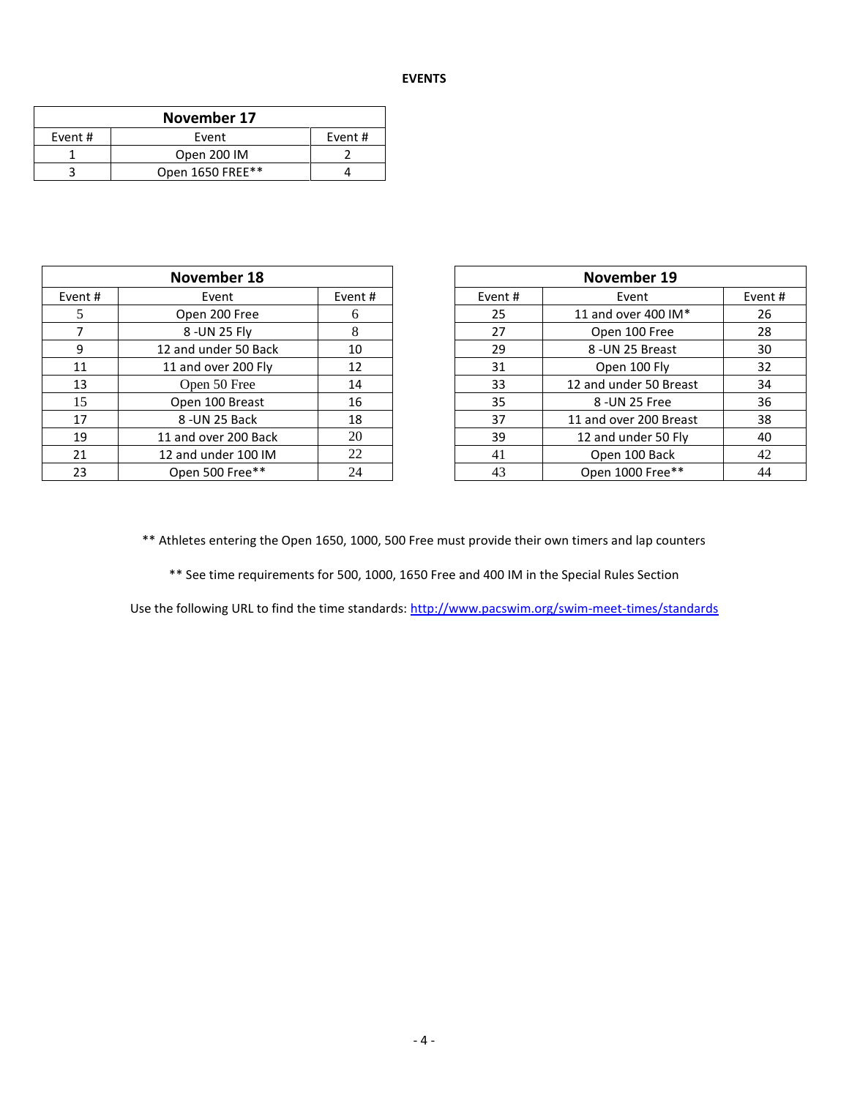| November 17 |                  |         |  |  |  |  |  |
|-------------|------------------|---------|--|--|--|--|--|
| Event #     | Event            | Event # |  |  |  |  |  |
|             | Open 200 IM      |         |  |  |  |  |  |
|             | Open 1650 FREE** |         |  |  |  |  |  |

|         | November 18          |        |        |    | November 19            |         |
|---------|----------------------|--------|--------|----|------------------------|---------|
| Event # | Event                | Event# | Event# |    | Event                  | Event # |
|         | Open 200 Free        | 6      |        | 25 | 11 and over 400 IM*    | 26      |
|         | 8 - UN 25 Fly        | 8      |        | 27 | Open 100 Free          | 28      |
| 9       | 12 and under 50 Back | 10     |        | 29 | 8-UN 25 Breast         | 30      |
| 11      | 11 and over 200 Fly  | 12     |        | 31 | Open 100 Fly           | 32      |
| 13      | Open 50 Free         | 14     |        | 33 | 12 and under 50 Breast | 34      |
| 15      | Open 100 Breast      | 16     |        | 35 | 8 - UN 25 Free         | 36      |
| 17      | 8 - UN 25 Back       | 18     |        | 37 | 11 and over 200 Breast | 38      |
| 19      | 11 and over 200 Back | 20     |        | 39 | 12 and under 50 Fly    | 40      |
| 21      | 12 and under 100 IM  | 22     |        | 41 | Open 100 Back          | 42      |
| 23      | Open 500 Free**      | 24     |        | 43 | Open 1000 Free**       | 44      |

|         | November 18               |        | November 19               |                        |        |  |  |
|---------|---------------------------|--------|---------------------------|------------------------|--------|--|--|
| nt#     | Event                     | Event# |                           | Event                  | Event# |  |  |
| 5       | Open 200 Free             | 6      | 11 and over 400 IM*<br>25 |                        |        |  |  |
|         | 8 - UN 25 Fly             | 8      | 27<br>Open 100 Free       |                        |        |  |  |
| 9       | 12 and under 50 Back      | 10     | 29                        | 8-UN 25 Breast         |        |  |  |
| L1      | 11 and over 200 Fly       | 12     | 31                        | Open 100 Fly           | 32     |  |  |
| L3      | Open 50 Free              | 14     | 33                        | 12 and under 50 Breast | 34     |  |  |
| l 5     | Open 100 Breast           | 16     | 35                        | 8 - UN 25 Free         | 36     |  |  |
| L7      | 8 - UN 25 Back            | 18     | 37                        | 11 and over 200 Breast | 38     |  |  |
| L9      | 11 and over 200 Back      | 20     | 39                        | 12 and under 50 Fly    | 40     |  |  |
| $^{21}$ | 22<br>12 and under 100 IM |        | 41                        | Open 100 Back          | 42     |  |  |
| 23      | Open 500 Free**           | 24     | Open 1000 Free**<br>43    |                        | 44     |  |  |

\*\* Athletes entering the Open 1650, 1000, 500 Free must provide their own timers and lap counters

\*\* See time requirements for 500, 1000, 1650 Free and 400 IM in the Special Rules Section

Use the following URL to find the time standards:<http://www.pacswim.org/swim-meet-times/standards>